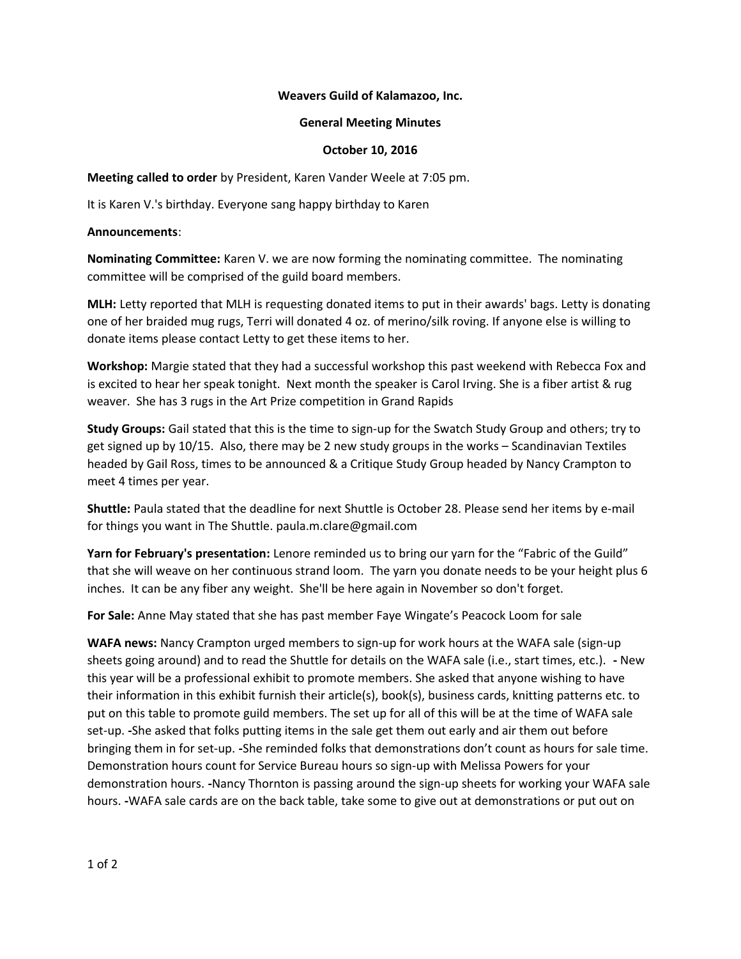## **Weavers Guild of Kalamazoo, Inc.**

### **General Meeting Minutes**

## **October 10, 2016**

**Meeting called to order** by President, Karen Vander Weele at 7:05 pm.

It is Karen V.'s birthday. Everyone sang happy birthday to Karen

### **Announcements**:

**Nominating Committee:** Karen V. we are now forming the nominating committee. The nominating committee will be comprised of the guild board members.

**MLH:** Letty reported that MLH is requesting donated items to put in their awards' bags. Letty is donating one of her braided mug rugs, Terri will donated 4 oz. of merino/silk roving. If anyone else is willing to donate items please contact Letty to get these items to her.

**Workshop:** Margie stated that they had a successful workshop this past weekend with Rebecca Fox and is excited to hear her speak tonight. Next month the speaker is Carol Irving. She is a fiber artist & rug weaver. She has 3 rugs in the Art Prize competition in Grand Rapids

**Study Groups:** Gail stated that this is the time to sign-up for the Swatch Study Group and others; try to get signed up by 10/15. Also, there may be 2 new study groups in the works – Scandinavian Textiles headed by Gail Ross, times to be announced & a Critique Study Group headed by Nancy Crampton to meet 4 times per year.

**Shuttle:** Paula stated that the deadline for next Shuttle is October 28. Please send her items by e-mail for things you want in The Shuttle. paula.m.clare@gmail.com

**Yarn for February's presentation:** Lenore reminded us to bring our yarn for the "Fabric of the Guild" that she will weave on her continuous strand loom. The yarn you donate needs to be your height plus 6 inches. It can be any fiber any weight. She'll be here again in November so don't forget.

**For Sale:** Anne May stated that she has past member Faye Wingate's Peacock Loom for sale

**WAFA news:** Nancy Crampton urged members to sign-up for work hours at the WAFA sale (sign-up sheets going around) and to read the Shuttle for details on the WAFA sale (i.e., start times, etc.). **-** New this year will be a professional exhibit to promote members. She asked that anyone wishing to have their information in this exhibit furnish their article(s), book(s), business cards, knitting patterns etc. to put on this table to promote guild members. The set up for all of this will be at the time of WAFA sale set-up. **-**She asked that folks putting items in the sale get them out early and air them out before bringing them in for set-up. **-**She reminded folks that demonstrations don't count as hours for sale time. Demonstration hours count for Service Bureau hours so sign-up with Melissa Powers for your demonstration hours. **-**Nancy Thornton is passing around the sign-up sheets for working your WAFA sale hours. **-**WAFA sale cards are on the back table, take some to give out at demonstrations or put out on